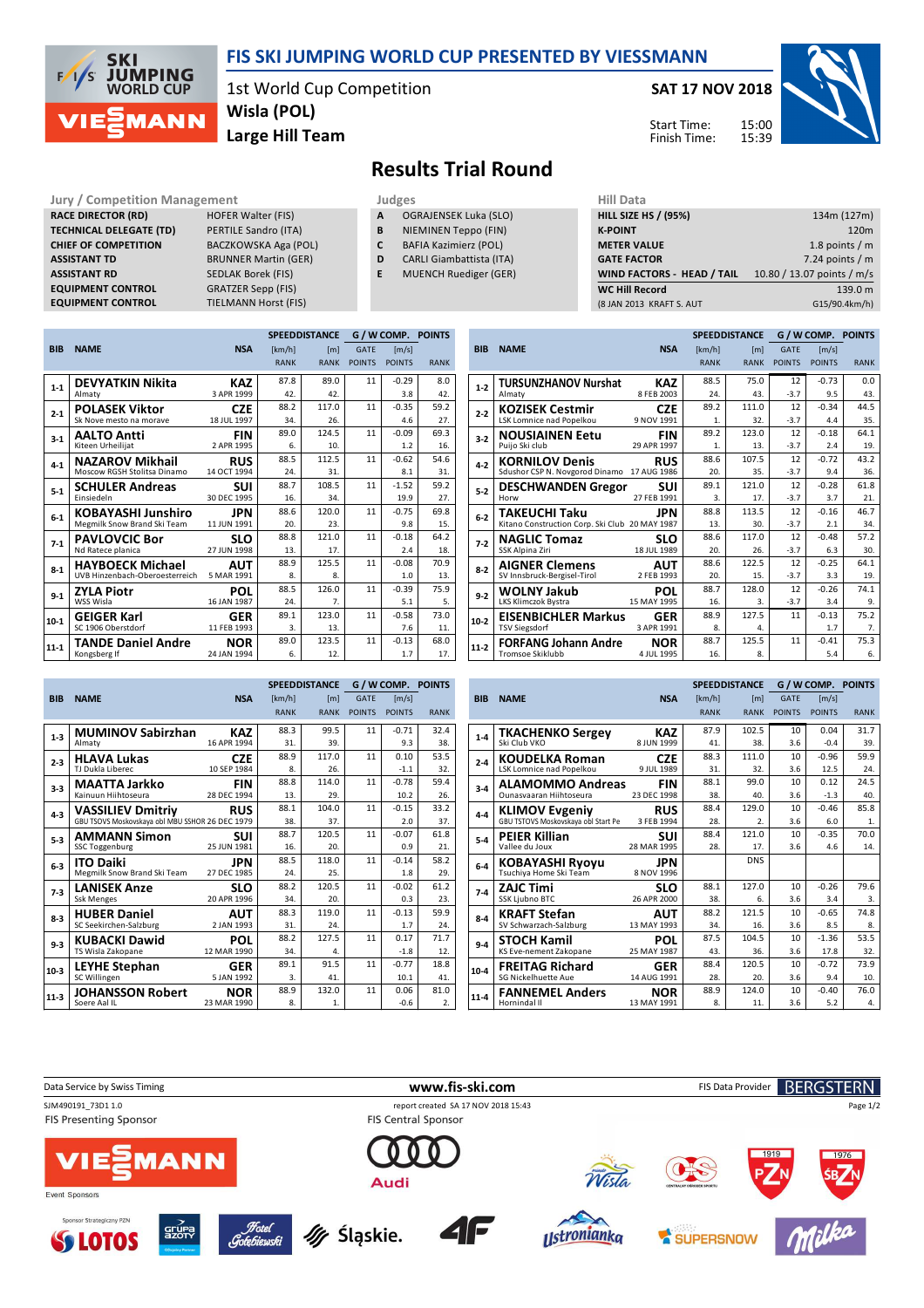

## **FIS SKI JUMPING WORLD CUP PRESENTED BY VIESSMANN**

1st World Cup Competition **Large Hill Team Wisla (POL)**

**SAT 17 NOV 2018**

Start Time: Finish Time:



## **Results Trial Round**

**Jury / Competition Management Judges Judges Hill Data**<br>**RACE DIRECTOR (RD)** HOFER Walter (FIS) **A** OGRAJENSEK Luka (SLO) **HILL SIZE RACE DIRECTOR (RD) TECHNICAL DELEGATE (TD)** PERTILE Sandro (ITA) **CHIEF OF COMPETITION** BACZKOWSKA Aga (POL) **ASSISTANT TD** BRUNNER Martin (GER) **ASSISTANT RD** SEDLAK Borek (FIS)<br>**EQUIPMENT CONTROL** GRATZER Sepp (FIS) **EQUIPMENT CONTROL**<br>**EQUIPMENT CONTROL** 

**TIELMANN Horst (FIS)** 

- **A** OGRAJENSEK Luka (SLO)
- **B** NIEMINEN Teppo (FIN) **C** BAFIA Kazimierz (POL)
	-
- **D** CARLI Giambattista (ITA)
- **E** MUENCH Ruediger (GER)

| нш рата                     |                            |
|-----------------------------|----------------------------|
| <b>HILL SIZE HS / (95%)</b> | 134m (127m)                |
| <b>K-POINT</b>              | 120 <sub>m</sub>           |
| <b>METER VALUE</b>          | 1.8 points $/m$            |
| <b>GATE FACTOR</b>          | 7.24 points $/m$           |
| WIND FACTORS - HEAD / TAIL  | 10.80 / 13.07 points / m/s |
| <b>WC Hill Record</b>       | 139.0 m                    |
| (8 JAN 2013 KRAFT S. AUT    | G15/90.4km/h)              |
|                             |                            |

**SPEEDDISTANCE G / W COMP. POINTS**

|            |                                |             |             | <b>SPEEDDISTANCE</b> |               | G / W COMP. POINTS |             |
|------------|--------------------------------|-------------|-------------|----------------------|---------------|--------------------|-------------|
| <b>BIB</b> | <b>NAME</b>                    | <b>NSA</b>  | [km/h]      | [ml]                 | <b>GATE</b>   | [m/s]              |             |
|            |                                |             | <b>RANK</b> | <b>RANK</b>          | <b>POINTS</b> | <b>POINTS</b>      | <b>RANK</b> |
| $1 - 1$    | <b>DEVYATKIN Nikita</b>        | <b>KAZ</b>  | 87.8        | 89.0                 | 11            | $-0.29$            | 8.0         |
|            | Almaty                         | 3 APR 1999  | 42.         | 42.                  |               | 3.8                | 42.         |
| $2 - 1$    | <b>POLASEK Viktor</b>          | <b>CZE</b>  | 88.2        | 117.0                | 11            | $-0.35$            | 59.2        |
|            | Sk Nove mesto na morave        | 18 JUL 1997 | 34.         | 26.                  |               | 4.6                | 27.         |
| $3 - 1$    | <b>AALTO Antti</b>             | <b>FIN</b>  | 89.0        | 124.5                | 11            | $-0.09$            | 69.3        |
|            | Kiteen Urheilijat              | 2 APR 1995  | 6.          | 10.                  |               | 1.2                | 16.         |
| $4 - 1$    | <b>NAZAROV Mikhail</b>         | <b>RUS</b>  | 88.5        | 112.5                | 11            | $-0.62$            | 54.6        |
|            | Moscow RGSH Stolitsa Dinamo    | 14 OCT 1994 | 24.         | 31.                  |               | 8.1                | 31.         |
| $5 - 1$    | <b>SCHULER Andreas</b>         | SUI         | 88.7        | 108.5                | 11            | $-1.52$            | 59.2        |
|            | <b>Finsiedeln</b>              | 30 DEC 1995 | 16.         | 34.                  |               | 19.9               | 27.         |
| $6-1$      | <b>KOBAYASHI Junshiro</b>      | JPN         | 88.6        | 120.0                | 11            | $-0.75$            | 69.8        |
|            | Megmilk Snow Brand Ski Team    | 11 JUN 1991 | 20.         | 23.                  |               | 9.8                | 15.         |
| $7-1$      | <b>PAVLOVCIC Bor</b>           | <b>SLO</b>  | 88.8        | 121.0                | 11            | $-0.18$            | 64.2        |
|            | Nd Ratece planica              | 27 JUN 1998 | 13.         | 17.                  |               | 2.4                | 18.         |
| $8 - 1$    | <b>HAYBOECK Michael</b>        | <b>AUT</b>  | 88.9        | 125.5                | 11            | $-0.08$            | 70.9        |
|            | UVB Hinzenbach-Oberoesterreich | 5 MAR 1991  | 8.          | 8.                   |               | 1.0                | 13.         |
| $9 - 1$    | <b>ZYLA Piotr</b>              | <b>POL</b>  | 88.5        | 126.0                | 11            | $-0.39$            | 75.9        |
|            | WSS Wisla                      | 16 JAN 1987 | 24.         | $\overline{7}$ .     |               | 5.1                | 5.          |
| 10-1       | <b>GEIGER Karl</b>             | <b>GER</b>  | 89.1        | 123.0                | 11            | $-0.58$            | 73.0        |
|            | SC 1906 Oberstdorf             | 11 FEB 1993 | 3.          | 13.                  |               | 7.6                | 11.         |
| 11-1       | <b>TANDE Daniel Andre</b>      | <b>NOR</b>  | 89.0        | 123.5                | 11            | $-0.13$            | 68.0        |
|            | Kongsberg If                   | 24 JAN 1994 | 6.          | 12.                  |               | 1.7                | 17.         |

| <b>BIB</b> | <b>NAME</b>                                    | <b>NSA</b>  | [km/h]      | [m]         | <b>GATE</b>   | [m/s]         |             |
|------------|------------------------------------------------|-------------|-------------|-------------|---------------|---------------|-------------|
|            |                                                |             | <b>RANK</b> | <b>RANK</b> | <b>POINTS</b> | <b>POINTS</b> | <b>RANK</b> |
| $1 - 2$    | <b>TURSUNZHANOV Nurshat</b>                    | KAZ         | 88.5        | 75.0        | 12            | $-0.73$       | 0.0         |
|            | Almaty                                         | 8 FEB 2003  | 24.         | 43.         | $-3.7$        | 9.5           | 43.         |
| $2 - 2$    | <b>KOZISEK Cestmir</b>                         | <b>CZE</b>  | 89.2        | 111.0       | 12            | $-0.34$       | 44.5        |
|            | <b>LSK Lomnice nad Popelkou</b>                | 9 NOV 1991  | 1.          | 32.         | $-3.7$        | 4.4           | 35.         |
| $3-2$      | <b>NOUSIAINEN Eetu</b>                         | <b>FIN</b>  | 89.2        | 123.0       | 12            | $-0.18$       | 64.1        |
|            | Puijo Ski club                                 | 29 APR 1997 | 1.          | 13.         | $-3.7$        | 2.4           | 19.         |
| $4 - 2$    | <b>KORNILOV Denis</b>                          | <b>RUS</b>  | 88.6        | 107.5       | 12            | $-0.72$       | 43.2        |
|            | Sdushor CSP N. Novgorod Dinamo 17 AUG 1986     |             | 20.         | 35.         | $-3.7$        | 9.4           | 36.         |
| $5-2$      | <b>DESCHWANDEN Gregor</b>                      | SUI         | 89.1        | 121.0       | 12            | $-0.28$       | 61.8        |
|            | Horw                                           | 27 FEB 1991 | 3.          | 17.         | $-3.7$        | 3.7           | 21.         |
| $6-2$      | <b>TAKEUCHI Taku</b>                           | JPN         | 88.8        | 113.5       | 12            | $-0.16$       | 46.7        |
|            | Kitano Construction Corp. Ski Club 20 MAY 1987 |             | 13.         | 30.         | $-3.7$        | 2.1           | 34.         |
| $7-2$      | <b>NAGLIC Tomaz</b>                            | SLO         | 88.6        | 117.0       | 12            | $-0.48$       | 57.2        |
|            | SSK Alpina Ziri                                | 18 JUL 1989 | 20.         | 26.         | $-3.7$        | 6.3           | 30.         |
| $8 - 2$    | <b>AIGNER Clemens</b>                          | AUT         | 88.6        | 122.5       | 12            | $-0.25$       | 64.1        |
|            | SV Innsbruck-Bergisel-Tirol                    | 2 FEB 1993  | 20.         | 15.         | $-3.7$        | 3.3           | 19.         |
| $9 - 2$    | WOLNY Jakub                                    | POL         | 88.7        | 128.0       | 12            | $-0.26$       | 74.1        |
|            | LKS Klimczok Bystra                            | 15 MAY 1995 | 16.         | 3.          | $-3.7$        | 3.4           | 9.          |
| $10-2$     | <b>EISENBICHLER Markus</b>                     | <b>GER</b>  | 88.9        | 127.5       | 11            | $-0.13$       | 75.2        |
|            | <b>TSV Siegsdorf</b>                           | 3 APR 1991  | 8.          | 4.          |               | 1.7           | 7.          |
| $11-2$     | <b>FORFANG Johann Andre</b>                    | <b>NOR</b>  | 88.7        | 125.5       | 11            | $-0.41$       | 75.3        |
|            | <b>Tromsoe Skiklubb</b>                        | 4 JUL 1995  | 16.         | 8.          |               | 5.4           | 6.          |

|            |                                                 |             |             | <b>SPEEDDISTANCE</b> |               | G / W COMP. POINTS |             |
|------------|-------------------------------------------------|-------------|-------------|----------------------|---------------|--------------------|-------------|
| <b>BIB</b> | <b>NAME</b>                                     | <b>NSA</b>  | [km/h]      | [ml]                 | <b>GATE</b>   | [m/s]              |             |
|            |                                                 |             | <b>RANK</b> | <b>RANK</b>          | <b>POINTS</b> | <b>POINTS</b>      | <b>RANK</b> |
| $1 - 3$    | <b>MUMINOV Sabirzhan</b>                        | <b>KAZ</b>  | 88.3        | 99.5                 | 11            | $-0.71$            | 32.4        |
|            | Almaty                                          | 16 APR 1994 | 31.         | 39.                  |               | 9.3                | 38.         |
| $2 - 3$    | <b>HLAVA Lukas</b>                              | <b>CZE</b>  | 88.9        | 117.0                | 11            | 0.10               | 53.5        |
|            | TJ Dukla Liberec                                | 10 SEP 1984 | 8.          | 26.                  |               | $-1.1$             | 32.         |
| $3-3$      | <b>MAATTA Jarkko</b>                            | <b>FIN</b>  | 88.8        | 114.0                | 11            | $-0.78$            | 59.4        |
|            | Kainuun Hiihtoseura                             | 28 DEC 1994 | 13.         | 29.                  |               | 10.2               | 26.         |
| $4 - 3$    | <b>VASSILIEV Dmitriy</b>                        | <b>RUS</b>  | 88.1        | 104.0                | 11            | $-0.15$            | 33.2        |
|            | GBU TSOVS Moskovskava obl MBU SSHOR 26 DEC 1979 |             | 38.         | 37.                  |               | 2.0                | 37.         |
| $5-3$      | <b>AMMANN Simon</b>                             | SUI         | 88.7        | 120.5                | 11            | $-0.07$            | 61.8        |
|            | <b>SSC Toggenburg</b>                           | 25 JUN 1981 | 16.         | 20.                  |               | 0.9                | 21.         |
| $6-3$      | <b>ITO Daiki</b>                                | JPN         | 88.5        | 118.0                | 11            | $-0.14$            | 58.2        |
|            | Megmilk Snow Brand Ski Team                     | 27 DEC 1985 | 24.         | 25.                  |               | 1.8                | 29.         |
| $7-3$      | <b>LANISEK Anze</b>                             | <b>SLO</b>  | 88.2        | 120.5                | 11            | $-0.02$            | 61.2        |
|            | <b>Ssk Menges</b>                               | 20 APR 1996 | 34.         | 20.                  |               | 0.3                | 23.         |
| $8 - 3$    | <b>HUBER Daniel</b>                             | AUT         | 88.3        | 119.0                | 11            | $-0.13$            | 59.9        |
|            | SC Seekirchen-Salzburg                          | 2 JAN 1993  | 31.         | 24.                  |               | 1.7                | 24.         |
| $9 - 3$    | <b>KUBACKI Dawid</b>                            | <b>POL</b>  | 88.2        | 127.5                | 11            | 0.17               | 71.7        |
|            | TS Wisla Zakopane                               | 12 MAR 1990 | 34.         | 4.                   |               | $-1.8$             | 12.         |
| $10-3$     | <b>LEYHE Stephan</b>                            | <b>GER</b>  | 89.1        | 91.5                 | 11            | $-0.77$            | 18.8        |
|            | SC Willingen                                    | 5 JAN 1992  | 3.          | 41.                  |               | 10.1               | 41.         |
| $11-3$     | <b>JOHANSSON Robert</b>                         | <b>NOR</b>  | 88.9        | 132.0                | 11            | 0.06               | 81.0        |
|            | Soere Aal IL                                    | 23 MAR 1990 | 8.          | 1.                   |               | $-0.6$             | 2.          |

|            |                                     |             |             | <b>SPEEDDISTANCE</b> |               | <b>G/W COMP. POINTS</b> |             |
|------------|-------------------------------------|-------------|-------------|----------------------|---------------|-------------------------|-------------|
| <b>BIB</b> | <b>NAME</b>                         | <b>NSA</b>  | [km/h]      | [ml]                 | <b>GATE</b>   | [m/s]                   |             |
|            |                                     |             | <b>RANK</b> | <b>RANK</b>          | <b>POINTS</b> | <b>POINTS</b>           | <b>RANK</b> |
| $1 - 4$    | <b>TKACHENKO Sergey</b>             | <b>KAZ</b>  | 87.9        | 102.5                | 10            | 0.04                    | 31.7        |
|            | Ski Club VKO                        | 8 JUN 1999  | 41.         | 38.                  | 3.6           | $-0.4$                  | 39.         |
| $2 - 4$    | <b>KOUDELKA Roman</b>               | <b>CZE</b>  | 88.3        | 111.0                | 10            | $-0.96$                 | 59.9        |
|            | LSK Lomnice nad Popelkou            | 9 JUL 1989  | 31.         | 32.                  | 3.6           | 12.5                    | 24.         |
| $3 - 4$    | <b>ALAMOMMO Andreas</b>             | FIN         | 88.1        | 99.0                 | 10            | 0.12                    | 24.5        |
|            | Ounasyaaran Hiihtoseura             | 23 DEC 1998 | 38.         | 40.                  | 3.6           | $-1.3$                  | 40.         |
| $4 - 4$    | <b>KLIMOV Evgeniy</b>               | <b>RUS</b>  | 88.4        | 129.0                | 10            | $-0.46$                 | 85.8        |
|            | GBU TSTOVS Moskovskaya obl Start Pe | 3 FEB 1994  | 28.         | $\overline{2}$ .     | 3.6           | 6.0                     | 1.          |
| $5-4$      | <b>PEIER Killian</b>                | SUI         | 88.4        | 121.0                | 10            | $-0.35$                 | 70.0        |
|            | Vallee du Joux                      | 28 MAR 1995 | 28.         | 17.                  | 3.6           | 4.6                     | 14.         |
| $6-4$      | <b>KOBAYASHI Ryoyu</b>              | JPN         |             | <b>DNS</b>           |               |                         |             |
|            | Tsuchiya Home Ski Team              | 8 NOV 1996  |             |                      |               |                         |             |
| $7-4$      | <b>ZAJC Timi</b>                    | <b>SLO</b>  | 88.1        | 127.0                | 10            | $-0.26$                 | 79.6        |
|            | SSK Ljubno BTC                      | 26 APR 2000 | 38.         | 6.                   | 3.6           | 3.4                     | 3.          |
| $8 - 4$    | <b>KRAFT Stefan</b>                 | <b>AUT</b>  | 88.2        | 121.5                | 10            | $-0.65$                 | 74.8        |
|            | SV Schwarzach-Salzburg              | 13 MAY 1993 | 34.         | 16.                  | 3.6           | 8.5                     | 8.          |
| $9 - 4$    | <b>STOCH Kamil</b>                  | <b>POL</b>  | 87.5        | 104.5                | 10            | $-1.36$                 | 53.5        |
|            | KS Eve-nement Zakopane              | 25 MAY 1987 | 43.         | 36.                  | 3.6           | 17.8                    | 32.         |
| $10-4$     | <b>FREITAG Richard</b>              | <b>GER</b>  | 88.4        | 120.5                | 10            | $-0.72$                 | 73.9        |
|            | <b>SG Nickelhuette Aue</b>          | 14 AUG 1991 | 28.         | 20.                  | 3.6           | 9.4                     | 10.         |
| $11 - 4$   | <b>FANNEMEL Anders</b>              | NOR         | 88.9        | 124.0                | 10            | $-0.40$                 | 76.0        |
|            | Hornindal II                        | 13 MAY 1991 | 8.          | 11.                  | 3.6           | 5.2                     | 4.          |